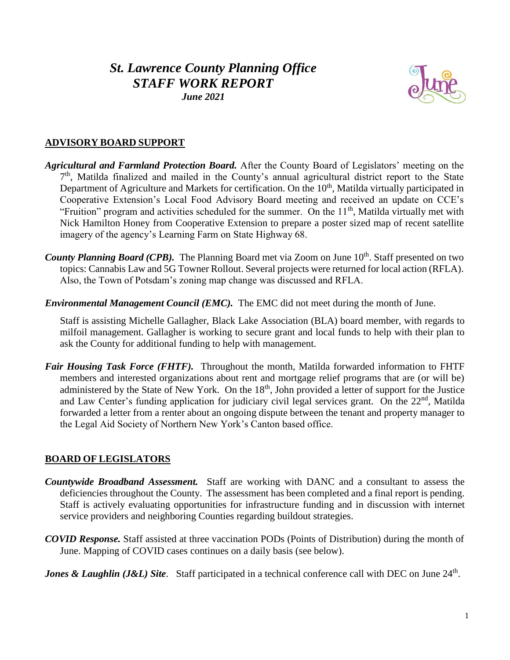# *St. Lawrence County Planning Office STAFF WORK REPORT*

## *June 2021*

## **ADVISORY BOARD SUPPORT**

- *Agricultural and Farmland Protection Board.* After the County Board of Legislators' meeting on the 7<sup>th</sup>, Matilda finalized and mailed in the County's annual agricultural district report to the State Department of Agriculture and Markets for certification. On the  $10<sup>th</sup>$ , Matilda virtually participated in Cooperative Extension's Local Food Advisory Board meeting and received an update on CCE's "Fruition" program and activities scheduled for the summer. On the  $11<sup>th</sup>$ , Matilda virtually met with Nick Hamilton Honey from Cooperative Extension to prepare a poster sized map of recent satellite imagery of the agency's Learning Farm on State Highway 68.
- County Planning Board (CPB). The Planning Board met via Zoom on June 10<sup>th</sup>. Staff presented on two topics: Cannabis Law and 5G Towner Rollout. Several projects were returned for local action (RFLA). Also, the Town of Potsdam's zoning map change was discussed and RFLA.
- *Environmental Management Council (EMC).* The EMC did not meet during the month of June.

Staff is assisting Michelle Gallagher, Black Lake Association (BLA) board member, with regards to milfoil management. Gallagher is working to secure grant and local funds to help with their plan to ask the County for additional funding to help with management.

*Fair Housing Task Force (FHTF).* Throughout the month, Matilda forwarded information to FHTF members and interested organizations about rent and mortgage relief programs that are (or will be) administered by the State of New York. On the 18<sup>th</sup>, John provided a letter of support for the Justice and Law Center's funding application for judiciary civil legal services grant. On the 22<sup>nd</sup>, Matilda forwarded a letter from a renter about an ongoing dispute between the tenant and property manager to the Legal Aid Society of Northern New York's Canton based office.

#### **BOARD OF LEGISLATORS**

- *Countywide Broadband Assessment.* Staff are working with DANC and a consultant to assess the deficiencies throughout the County. The assessment has been completed and a final report is pending. Staff is actively evaluating opportunities for infrastructure funding and in discussion with internet service providers and neighboring Counties regarding buildout strategies.
- *COVID Response.* Staff assisted at three vaccination PODs (Points of Distribution) during the month of June. Mapping of COVID cases continues on a daily basis (see below).

*Jones & Laughlin (J&L) Site.* Staff participated in a technical conference call with DEC on June 24<sup>th</sup>.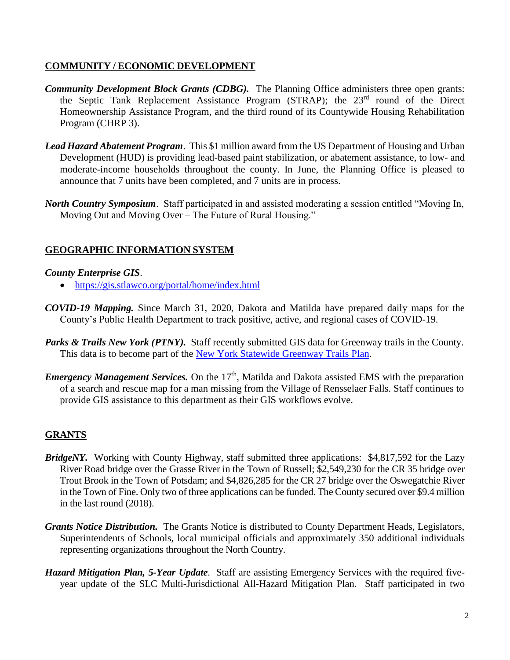## **COMMUNITY / ECONOMIC DEVELOPMENT**

- *Community Development Block Grants (CDBG).* The Planning Office administers three open grants: the Septic Tank Replacement Assistance Program (STRAP); the 23<sup>rd</sup> round of the Direct Homeownership Assistance Program, and the third round of its Countywide Housing Rehabilitation Program (CHRP 3).
- *Lead Hazard Abatement Program*. This \$1 million award from the US Department of Housing and Urban Development (HUD) is providing lead-based paint stabilization, or abatement assistance, to low- and moderate-income households throughout the county. In June, the Planning Office is pleased to announce that 7 units have been completed, and 7 units are in process.
- *North Country Symposium*. Staff participated in and assisted moderating a session entitled "Moving In, Moving Out and Moving Over – The Future of Rural Housing."

# **GEOGRAPHIC INFORMATION SYSTEM**

#### *County Enterprise GIS*.

- <https://gis.stlawco.org/portal/home/index.html>
- *COVID-19 Mapping.* Since March 31, 2020, Dakota and Matilda have prepared daily maps for the County's Public Health Department to track positive, active, and regional cases of COVID-19.
- Parks & Trails New York (PTNY). Staff recently submitted GIS data for Greenway trails in the County. This data is to become part of the [New York Statewide Greenway Trails Plan.](https://greenway-trails-plan-nysparks.hub.arcgis.com/)
- *Emergency Management Services.* On the 17<sup>th</sup>, Matilda and Dakota assisted EMS with the preparation of a search and rescue map for a man missing from the Village of Rensselaer Falls. Staff continues to provide GIS assistance to this department as their GIS workflows evolve.

## **GRANTS**

- *BridgeNY.* Working with County Highway, staff submitted three applications: \$4,817,592 for the Lazy River Road bridge over the Grasse River in the Town of Russell; \$2,549,230 for the CR 35 bridge over Trout Brook in the Town of Potsdam; and \$4,826,285 for the CR 27 bridge over the Oswegatchie River in the Town of Fine. Only two of three applications can be funded. The County secured over \$9.4 million in the last round (2018).
- *Grants Notice Distribution.* The Grants Notice is distributed to County Department Heads, Legislators, Superintendents of Schools, local municipal officials and approximately 350 additional individuals representing organizations throughout the North Country.
- *Hazard Mitigation Plan, 5-Year Update*. Staff are assisting Emergency Services with the required fiveyear update of the SLC Multi-Jurisdictional All-Hazard Mitigation Plan. Staff participated in two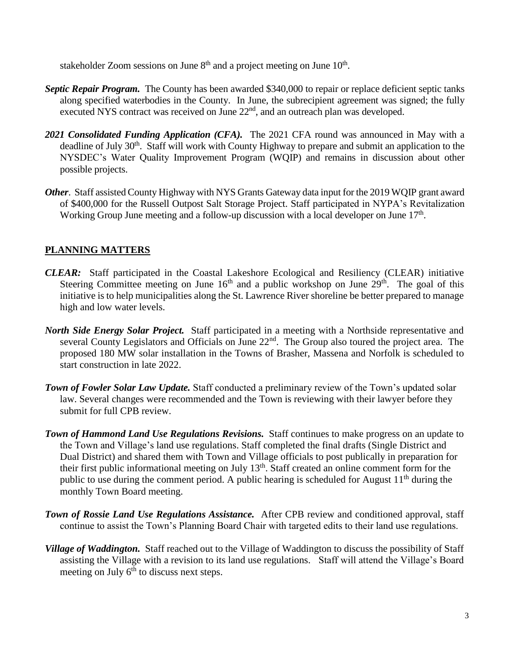stakeholder Zoom sessions on June  $8<sup>th</sup>$  and a project meeting on June  $10<sup>th</sup>$ .

- *Septic Repair Program.* The County has been awarded \$340,000 to repair or replace deficient septic tanks along specified waterbodies in the County. In June, the subrecipient agreement was signed; the fully executed NYS contract was received on June 22<sup>nd</sup>, and an outreach plan was developed.
- *2021 Consolidated Funding Application (CFA).* The 2021 CFA round was announced in May with a deadline of July 30<sup>th</sup>. Staff will work with County Highway to prepare and submit an application to the NYSDEC's Water Quality Improvement Program (WQIP) and remains in discussion about other possible projects.
- *Other*. Staff assisted County Highway with NYS Grants Gateway data input for the 2019 WQIP grant award of \$400,000 for the Russell Outpost Salt Storage Project. Staff participated in NYPA's Revitalization Working Group June meeting and a follow-up discussion with a local developer on June 17<sup>th</sup>.

# **PLANNING MATTERS**

- *CLEAR:* Staff participated in the Coastal Lakeshore Ecological and Resiliency (CLEAR) initiative Steering Committee meeting on June  $16<sup>th</sup>$  and a public workshop on June  $29<sup>th</sup>$ . The goal of this initiative is to help municipalities along the St. Lawrence River shoreline be better prepared to manage high and low water levels.
- *North Side Energy Solar Project.* Staff participated in a meeting with a Northside representative and several County Legislators and Officials on June 22<sup>nd</sup>. The Group also toured the project area. The proposed 180 MW solar installation in the Towns of Brasher, Massena and Norfolk is scheduled to start construction in late 2022.
- *Town of Fowler Solar Law Update.* Staff conducted a preliminary review of the Town's updated solar law. Several changes were recommended and the Town is reviewing with their lawyer before they submit for full CPB review.
- *Town of Hammond Land Use Regulations Revisions.* Staff continues to make progress on an update to the Town and Village's land use regulations. Staff completed the final drafts (Single District and Dual District) and shared them with Town and Village officials to post publically in preparation for their first public informational meeting on July 13th. Staff created an online comment form for the public to use during the comment period. A public hearing is scheduled for August  $11<sup>th</sup>$  during the monthly Town Board meeting.
- *Town of Rossie Land Use Regulations Assistance.* After CPB review and conditioned approval, staff continue to assist the Town's Planning Board Chair with targeted edits to their land use regulations.
- *Village of Waddington.* Staff reached out to the Village of Waddington to discuss the possibility of Staff assisting the Village with a revision to its land use regulations. Staff will attend the Village's Board meeting on July  $6<sup>th</sup>$  to discuss next steps.